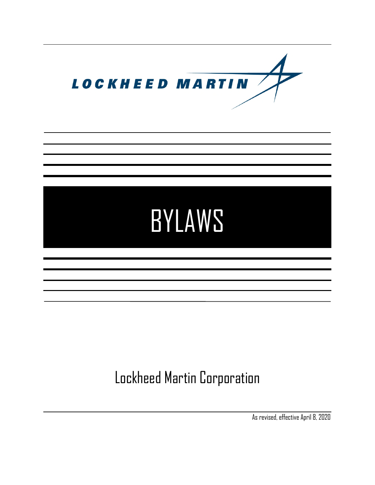

# BYLAWS

# Lockheed Martin Corporation

As revised, effective April 8, 2020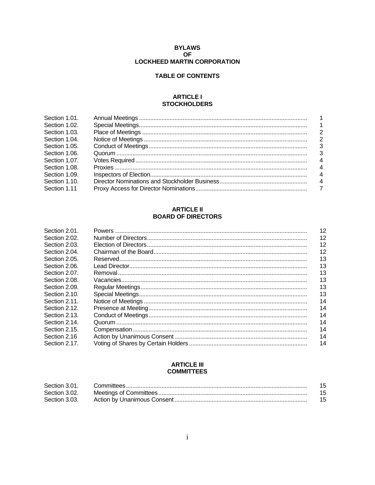# **BYLAWS OF** LOCKHEED MARTIN CORPORATION

# **TABLE OF CONTENTS**

#### **ARTICLE I STOCKHOLDERS**

| $\overline{2}$ |
|----------------|
| - 3            |
| $\mathbf{3}$   |
| $\overline{4}$ |
| 4              |
| 4              |
| $\overline{4}$ |
|                |
|                |

# **ARTICLE II BOARD OF DIRECTORS**

| Section 2.01. | 12 |
|---------------|----|
| Section 2.02. | 12 |
| Section 2.03. | 12 |
| Section 2.04. | 12 |
| Section 2.05. | 13 |
| Section 2.06. | 13 |
| Section 2.07. | 13 |
| Section 2.08. | 13 |
| Section 2.09. | 13 |
| Section 2.10. | 13 |
| Section 2.11. | 14 |
| Section 2.12. | 14 |
| Section 2.13. | 14 |
| Section 2.14. | 14 |
| Section 2.15. | 14 |
| Section 2.16  | 14 |
| Section 2.17. | 14 |

# **ARTICLE III COMMITTEES**

| Section 3.01. |  |
|---------------|--|
| Section 3.02. |  |
| Section 3.03. |  |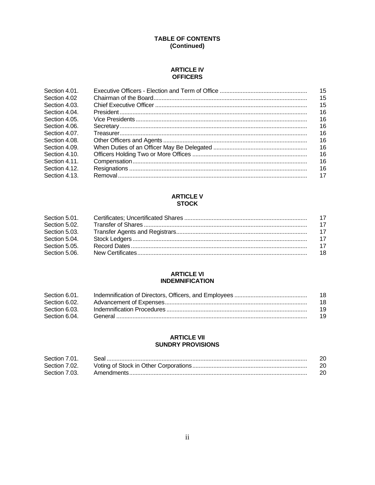# **TABLE OF CONTENTS** (Continued)

#### **ARTICLE IV OFFICERS**

| Section 4.01. | 15 |
|---------------|----|
| Section 4.02  | 15 |
| Section 4.03. | 15 |
| Section 4.04. | 16 |
| Section 4.05. | 16 |
| Section 4.06. | 16 |
| Section 4.07. | 16 |
| Section 4.08. | 16 |
| Section 4.09. | 16 |
| Section 4.10. | 16 |
| Section 4.11. | 16 |
| Section 4.12. | 16 |
| Section 4.13. | 17 |

# **ARTICLE V STOCK**

| Section 5.01. |     |
|---------------|-----|
| Section 5.02. |     |
| Section 5.03. |     |
| Section 5.04. |     |
| Section 5.05. |     |
| Section 5.06. | -18 |

# **ARTICLE VI INDEMNIFICATION**

| Section 6.01. | 18 |
|---------------|----|
| Section 6.02. | 18 |
| Section 6.03. | 19 |
| Section 6.04. | 19 |

#### **ARTICLE VII SUNDRY PROVISIONS**

| Section 7.01. |  |
|---------------|--|
| Section 7.02. |  |
| Section 7.03. |  |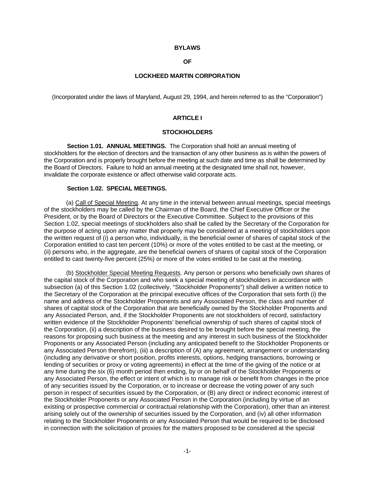#### **BYLAWS**

# **OF**

#### **LOCKHEED MARTIN CORPORATION**

(Incorporated under the laws of Maryland, August 29, 1994, and herein referred to as the "Corporation")

# **ARTICLE I**

#### **STOCKHOLDERS**

**Section 1.01. ANNUAL MEETINGS.** The Corporation shall hold an annual meeting of stockholders for the election of directors and the transaction of any other business as is within the powers of the Corporation and is properly brought before the meeting at such date and time as shall be determined by the Board of Directors. Failure to hold an annual meeting at the designated time shall not, however, invalidate the corporate existence or affect otherwise valid corporate acts.

#### **Section 1.02. SPECIAL MEETINGS.**

(a) Call of Special Meeting. At any time in the interval between annual meetings, special meetings of the stockholders may be called by the Chairman of the Board, the Chief Executive Officer or the President, or by the Board of Directors or the Executive Committee. Subject to the provisions of this Section 1.02, special meetings of stockholders also shall be called by the Secretary of the Corporation for the purpose of acting upon any matter that properly may be considered at a meeting of stockholders upon the written request of (i) a person who, individually, is the beneficial owner of shares of capital stock of the Corporation entitled to cast ten percent (10%) or more of the votes entitled to be cast at the meeting, or (ii) persons who, in the aggregate, are the beneficial owners of shares of capital stock of the Corporation entitled to cast twenty-five percent (25%) or more of the votes entitled to be cast at the meeting.

(b) Stockholder Special Meeting Requests. Any person or persons who beneficially own shares of the capital stock of the Corporation and who seek a special meeting of stockholders in accordance with subsection (a) of this Section 1.02 (collectively, "Stockholder Proponents") shall deliver a written notice to the Secretary of the Corporation at the principal executive offices of the Corporation that sets forth (i) the name and address of the Stockholder Proponents and any Associated Person, the class and number of shares of capital stock of the Corporation that are beneficially owned by the Stockholder Proponents and any Associated Person, and, if the Stockholder Proponents are not stockholders of record, satisfactory written evidence of the Stockholder Proponents' beneficial ownership of such shares of capital stock of the Corporation, (ii) a description of the business desired to be brought before the special meeting, the reasons for proposing such business at the meeting and any interest in such business of the Stockholder Proponents or any Associated Person (including any anticipated benefit to the Stockholder Proponents or any Associated Person therefrom), (iii) a description of (A) any agreement, arrangement or understanding (including any derivative or short position, profits interests, options, hedging transactions, borrowing or lending of securities or proxy or voting agreements) in effect at the time of the giving of the notice or at any time during the six (6) month period then ending, by or on behalf of the Stockholder Proponents or any Associated Person, the effect or intent of which is to manage risk or benefit from changes in the price of any securities issued by the Corporation, or to increase or decrease the voting power of any such person in respect of securities issued by the Corporation, or (B) any direct or indirect economic interest of the Stockholder Proponents or any Associated Person in the Corporation (including by virtue of an existing or prospective commercial or contractual relationship with the Corporation), other than an interest arising solely out of the ownership of securities issued by the Corporation, and (iv) all other information relating to the Stockholder Proponents or any Associated Person that would be required to be disclosed in connection with the solicitation of proxies for the matters proposed to be considered at the special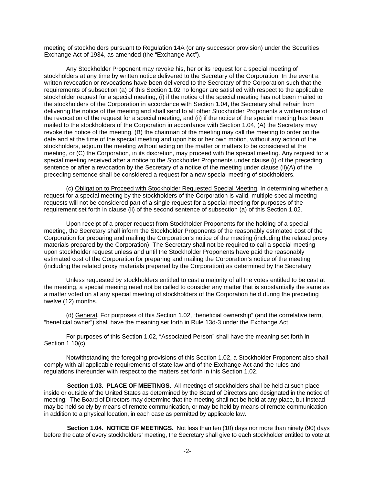meeting of stockholders pursuant to Regulation 14A (or any successor provision) under the Securities Exchange Act of 1934, as amended (the "Exchange Act").

Any Stockholder Proponent may revoke his, her or its request for a special meeting of stockholders at any time by written notice delivered to the Secretary of the Corporation. In the event a written revocation or revocations have been delivered to the Secretary of the Corporation such that the requirements of subsection (a) of this Section 1.02 no longer are satisfied with respect to the applicable stockholder request for a special meeting, (i) if the notice of the special meeting has not been mailed to the stockholders of the Corporation in accordance with Section 1.04, the Secretary shall refrain from delivering the notice of the meeting and shall send to all other Stockholder Proponents a written notice of the revocation of the request for a special meeting, and (ii) if the notice of the special meeting has been mailed to the stockholders of the Corporation in accordance with Section 1.04, (A) the Secretary may revoke the notice of the meeting, (B) the chairman of the meeting may call the meeting to order on the date and at the time of the special meeting and upon his or her own motion, without any action of the stockholders, adjourn the meeting without acting on the matter or matters to be considered at the meeting, or (C) the Corporation, in its discretion, may proceed with the special meeting. Any request for a special meeting received after a notice to the Stockholder Proponents under clause (i) of the preceding sentence or after a revocation by the Secretary of a notice of the meeting under clause (ii)(A) of the preceding sentence shall be considered a request for a new special meeting of stockholders.

(c) Obligation to Proceed with Stockholder Requested Special Meeting. In determining whether a request for a special meeting by the stockholders of the Corporation is valid, multiple special meeting requests will not be considered part of a single request for a special meeting for purposes of the requirement set forth in clause (ii) of the second sentence of subsection (a) of this Section 1.02.

Upon receipt of a proper request from Stockholder Proponents for the holding of a special meeting, the Secretary shall inform the Stockholder Proponents of the reasonably estimated cost of the Corporation for preparing and mailing the Corporation's notice of the meeting (including the related proxy materials prepared by the Corporation). The Secretary shall not be required to call a special meeting upon stockholder request unless and until the Stockholder Proponents have paid the reasonably estimated cost of the Corporation for preparing and mailing the Corporation's notice of the meeting (including the related proxy materials prepared by the Corporation) as determined by the Secretary.

Unless requested by stockholders entitled to cast a majority of all the votes entitled to be cast at the meeting, a special meeting need not be called to consider any matter that is substantially the same as a matter voted on at any special meeting of stockholders of the Corporation held during the preceding twelve (12) months.

(d) General. For purposes of this Section 1.02, "beneficial ownership" (and the correlative term, "beneficial owner") shall have the meaning set forth in Rule 13d-3 under the Exchange Act.

For purposes of this Section 1.02, "Associated Person" shall have the meaning set forth in Section 1.10(c).

Notwithstanding the foregoing provisions of this Section 1.02, a Stockholder Proponent also shall comply with all applicable requirements of state law and of the Exchange Act and the rules and regulations thereunder with respect to the matters set forth in this Section 1.02.

**Section 1.03. PLACE OF MEETINGS.** All meetings of stockholders shall be held at such place inside or outside of the United States as determined by the Board of Directors and designated in the notice of meeting. The Board of Directors may determine that the meeting shall not be held at any place, but instead may be held solely by means of remote communication, or may be held by means of remote communication in addition to a physical location, in each case as permitted by applicable law.

**Section 1.04. NOTICE OF MEETINGS.** Not less than ten (10) days nor more than ninety (90) days before the date of every stockholders' meeting, the Secretary shall give to each stockholder entitled to vote at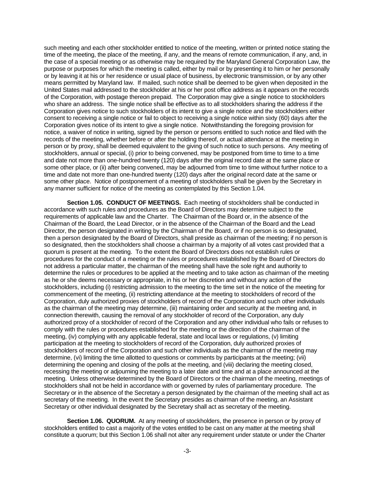such meeting and each other stockholder entitled to notice of the meeting, written or printed notice stating the time of the meeting, the place of the meeting, if any, and the means of remote communication, if any, and, in the case of a special meeting or as otherwise may be required by the Maryland General Corporation Law, the purpose or purposes for which the meeting is called, either by mail or by presenting it to him or her personally or by leaving it at his or her residence or usual place of business, by electronic transmission, or by any other means permitted by Maryland law. If mailed, such notice shall be deemed to be given when deposited in the United States mail addressed to the stockholder at his or her post office address as it appears on the records of the Corporation, with postage thereon prepaid. The Corporation may give a single notice to stockholders who share an address. The single notice shall be effective as to all stockholders sharing the address if the Corporation gives notice to such stockholders of its intent to give a single notice and the stockholders either consent to receiving a single notice or fail to object to receiving a single notice within sixty (60) days after the Corporation gives notice of its intent to give a single notice. Notwithstanding the foregoing provision for notice, a waiver of notice in writing, signed by the person or persons entitled to such notice and filed with the records of the meeting, whether before or after the holding thereof, or actual attendance at the meeting in person or by proxy, shall be deemed equivalent to the giving of such notice to such persons. Any meeting of stockholders, annual or special, (i) prior to being convened, may be postponed from time to time to a time and date not more than one-hundred twenty (120) days after the original record date at the same place or some other place, or (ii) after being convened, may be adjourned from time to time without further notice to a time and date not more than one-hundred twenty (120) days after the original record date at the same or some other place. Notice of postponement of a meeting of stockholders shall be given by the Secretary in any manner sufficient for notice of the meeting as contemplated by this Section 1.04.

**Section 1.05. CONDUCT OF MEETINGS.** Each meeting of stockholders shall be conducted in accordance with such rules and procedures as the Board of Directors may determine subject to the requirements of applicable law and the Charter. The Chairman of the Board or, in the absence of the Chairman of the Board, the Lead Director, or in the absence of the Chairman of the Board and the Lead Director, the person designated in writing by the Chairman of the Board, or if no person is so designated, then a person designated by the Board of Directors, shall preside as chairman of the meeting; if no person is so designated, then the stockholders shall choose a chairman by a majority of all votes cast provided that a quorum is present at the meeting. To the extent the Board of Directors does not establish rules or procedures for the conduct of a meeting or the rules or procedures established by the Board of Directors do not address a particular matter, the chairman of the meeting shall have the sole right and authority to determine the rules or procedures to be applied at the meeting and to take action as chairman of the meeting as he or she deems necessary or appropriate, in his or her discretion and without any action of the stockholders, including (i) restricting admission to the meeting to the time set in the notice of the meeting for commencement of the meeting, (ii) restricting attendance at the meeting to stockholders of record of the Corporation, duly authorized proxies of stockholders of record of the Corporation and such other individuals as the chairman of the meeting may determine, (iii) maintaining order and security at the meeting and, in connection therewith, causing the removal of any stockholder of record of the Corporation, any duly authorized proxy of a stockholder of record of the Corporation and any other individual who fails or refuses to comply with the rules or procedures established for the meeting or the direction of the chairman of the meeting, (iv) complying with any applicable federal, state and local laws or regulations, (v) limiting participation at the meeting to stockholders of record of the Corporation, duly authorized proxies of stockholders of record of the Corporation and such other individuals as the chairman of the meeting may determine, (vi) limiting the time allotted to questions or comments by participants at the meeting; (vii) determining the opening and closing of the polls at the meeting, and (viii) declaring the meeting closed, recessing the meeting or adjourning the meeting to a later date and time and at a place announced at the meeting. Unless otherwise determined by the Board of Directors or the chairman of the meeting, meetings of stockholders shall not be held in accordance with or governed by rules of parliamentary procedure. The Secretary or in the absence of the Secretary a person designated by the chairman of the meeting shall act as secretary of the meeting. In the event the Secretary presides as chairman of the meeting, an Assistant Secretary or other individual designated by the Secretary shall act as secretary of the meeting.

**Section 1.06. QUORUM.** At any meeting of stockholders, the presence in person or by proxy of stockholders entitled to cast a majority of the votes entitled to be cast on any matter at the meeting shall constitute a quorum; but this Section 1.06 shall not alter any requirement under statute or under the Charter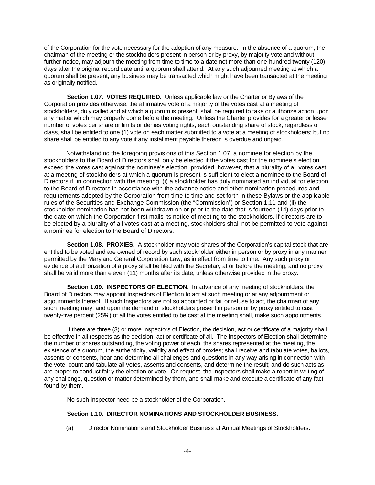of the Corporation for the vote necessary for the adoption of any measure. In the absence of a quorum, the chairman of the meeting or the stockholders present in person or by proxy, by majority vote and without further notice, may adjourn the meeting from time to time to a date not more than one-hundred twenty (120) days after the original record date until a quorum shall attend. At any such adjourned meeting at which a quorum shall be present, any business may be transacted which might have been transacted at the meeting as originally notified.

**Section 1.07. VOTES REQUIRED.** Unless applicable law or the Charter or Bylaws of the Corporation provides otherwise, the affirmative vote of a majority of the votes cast at a meeting of stockholders, duly called and at which a quorum is present, shall be required to take or authorize action upon any matter which may properly come before the meeting. Unless the Charter provides for a greater or lesser number of votes per share or limits or denies voting rights, each outstanding share of stock, regardless of class, shall be entitled to one (1) vote on each matter submitted to a vote at a meeting of stockholders; but no share shall be entitled to any vote if any installment payable thereon is overdue and unpaid.

Notwithstanding the foregoing provisions of this Section 1.07, a nominee for election by the stockholders to the Board of Directors shall only be elected if the votes cast for the nominee's election exceed the votes cast against the nominee's election; provided, however, that a plurality of all votes cast at a meeting of stockholders at which a quorum is present is sufficient to elect a nominee to the Board of Directors if, in connection with the meeting, (i) a stockholder has duly nominated an individual for election to the Board of Directors in accordance with the advance notice and other nomination procedures and requirements adopted by the Corporation from time to time and set forth in these Bylaws or the applicable rules of the Securities and Exchange Commission (the "Commission") or Section 1.11 and (ii) the stockholder nomination has not been withdrawn on or prior to the date that is fourteen (14) days prior to the date on which the Corporation first mails its notice of meeting to the stockholders. If directors are to be elected by a plurality of all votes cast at a meeting, stockholders shall not be permitted to vote against a nominee for election to the Board of Directors.

**Section 1.08. PROXIES.** A stockholder may vote shares of the Corporation's capital stock that are entitled to be voted and are owned of record by such stockholder either in person or by proxy in any manner permitted by the Maryland General Corporation Law, as in effect from time to time. Any such proxy or evidence of authorization of a proxy shall be filed with the Secretary at or before the meeting, and no proxy shall be valid more than eleven (11) months after its date, unless otherwise provided in the proxy.

**Section 1.09. INSPECTORS OF ELECTION.** In advance of any meeting of stockholders, the Board of Directors may appoint Inspectors of Election to act at such meeting or at any adjournment or adjournments thereof. If such Inspectors are not so appointed or fail or refuse to act, the chairman of any such meeting may, and upon the demand of stockholders present in person or by proxy entitled to cast twenty-five percent (25%) of all the votes entitled to be cast at the meeting shall, make such appointments.

If there are three (3) or more Inspectors of Election, the decision, act or certificate of a majority shall be effective in all respects as the decision, act or certificate of all. The Inspectors of Election shall determine the number of shares outstanding, the voting power of each, the shares represented at the meeting, the existence of a quorum, the authenticity, validity and effect of proxies; shall receive and tabulate votes, ballots, assents or consents, hear and determine all challenges and questions in any way arising in connection with the vote, count and tabulate all votes, assents and consents, and determine the result; and do such acts as are proper to conduct fairly the election or vote. On request, the Inspectors shall make a report in writing of any challenge, question or matter determined by them, and shall make and execute a certificate of any fact found by them.

No such Inspector need be a stockholder of the Corporation.

# **Section 1.10. DIRECTOR NOMINATIONS AND STOCKHOLDER BUSINESS.**

(a) Director Nominations and Stockholder Business at Annual Meetings of Stockholders.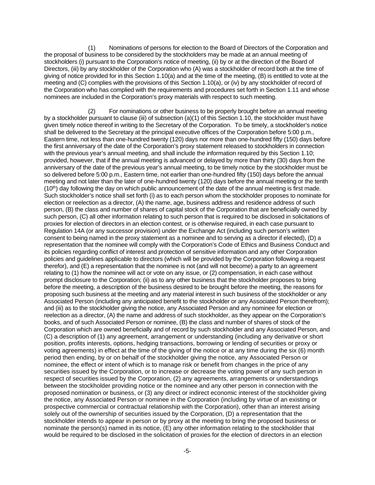(1) Nominations of persons for election to the Board of Directors of the Corporation and the proposal of business to be considered by the stockholders may be made at an annual meeting of stockholders (i) pursuant to the Corporation's notice of meeting, (ii) by or at the direction of the Board of Directors, (iii) by any stockholder of the Corporation who (A) was a stockholder of record both at the time of giving of notice provided for in this Section 1.10(a) and at the time of the meeting, (B) is entitled to vote at the meeting and (C) complies with the provisions of this Section 1.10(a), or (iv) by any stockholder of record of the Corporation who has complied with the requirements and procedures set forth in Section 1.11 and whose nominees are included in the Corporation's proxy materials with respect to such meeting.

(2) For nominations or other business to be properly brought before an annual meeting by a stockholder pursuant to clause (iii) of subsection (a)(1) of this Section 1.10, the stockholder must have given timely notice thereof in writing to the Secretary of the Corporation. To be timely, a stockholder's notice shall be delivered to the Secretary at the principal executive offices of the Corporation before 5:00 p.m., Eastern time, not less than one-hundred twenty (120) days nor more than one-hundred fifty (150) days before the first anniversary of the date of the Corporation's proxy statement released to stockholders in connection with the previous year's annual meeting, and shall include the information required by this Section 1.10; provided, however, that if the annual meeting is advanced or delayed by more than thirty (30) days from the anniversary of the date of the previous year's annual meeting, to be timely notice by the stockholder must be so delivered before 5:00 p.m., Eastern time, not earlier than one-hundred fifty (150) days before the annual meeting and not later than the later of one-hundred twenty (120) days before the annual meeting or the tenth  $(10<sup>th</sup>)$  day following the day on which public announcement of the date of the annual meeting is first made. Such stockholder's notice shall set forth (i) as to each person whom the stockholder proposes to nominate for election or reelection as a director, (A) the name, age, business address and residence address of such person, (B) the class and number of shares of capital stock of the Corporation that are beneficially owned by such person, (C) all other information relating to such person that is required to be disclosed in solicitations of proxies for election of directors in an election contest, or is otherwise required, in each case pursuant to Regulation 14A (or any successor provision) under the Exchange Act (including such person's written consent to being named in the proxy statement as a nominee and to serving as a director if elected), (D) a representation that the nominee will comply with the Corporation's Code of Ethics and Business Conduct and its policies regarding conflict of interest and protection of sensitive information and any other Corporation policies and guidelines applicable to directors (which will be provided by the Corporation following a request therefor), and (E) a representation that the nominee is not (and will not become) a party to an agreement relating to (1) how the nominee will act or vote on any issue, or (2) compensation, in each case without prompt disclosure to the Corporation; (ii) as to any other business that the stockholder proposes to bring before the meeting, a description of the business desired to be brought before the meeting, the reasons for proposing such business at the meeting and any material interest in such business of the stockholder or any Associated Person (including any anticipated benefit to the stockholder or any Associated Person therefrom); and (iii) as to the stockholder giving the notice, any Associated Person and any nominee for election or reelection as a director, (A) the name and address of such stockholder, as they appear on the Corporation's books, and of such Associated Person or nominee, (B) the class and number of shares of stock of the Corporation which are owned beneficially and of record by such stockholder and any Associated Person, and (C) a description of (1) any agreement, arrangement or understanding (including any derivative or short position, profits interests, options, hedging transactions, borrowing or lending of securities or proxy or voting agreements) in effect at the time of the giving of the notice or at any time during the six (6) month period then ending, by or on behalf of the stockholder giving the notice, any Associated Person or nominee, the effect or intent of which is to manage risk or benefit from changes in the price of any securities issued by the Corporation, or to increase or decrease the voting power of any such person in respect of securities issued by the Corporation, (2) any agreements, arrangements or understandings between the stockholder providing notice or the nominee and any other person in connection with the proposed nomination or business, or (3) any direct or indirect economic interest of the stockholder giving the notice, any Associated Person or nominee in the Corporation (including by virtue of an existing or prospective commercial or contractual relationship with the Corporation), other than an interest arising solely out of the ownership of securities issued by the Corporation, (D) a representation that the stockholder intends to appear in person or by proxy at the meeting to bring the proposed business or nominate the person(s) named in its notice, (E) any other information relating to the stockholder that would be required to be disclosed in the solicitation of proxies for the election of directors in an election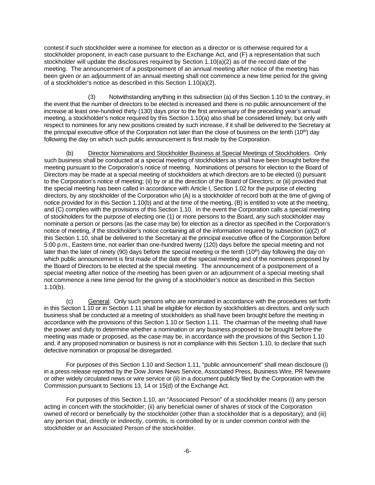contest if such stockholder were a nominee for election as a director or is otherwise required for a stockholder proponent, in each case pursuant to the Exchange Act, and (F) a representation that such stockholder will update the disclosures required by Section 1.10(a)(2) as of the record date of the meeting. The announcement of a postponement of an annual meeting after notice of the meeting has been given or an adjournment of an annual meeting shall not commence a new time period for the giving of a stockholder's notice as described in this Section 1.10(a)(2).

(3) Notwithstanding anything in this subsection (a) of this Section 1.10 to the contrary, in the event that the number of directors to be elected is increased and there is no public announcement of the increase at least one-hundred thirty (130) days prior to the first anniversary of the preceding year's annual meeting, a stockholder's notice required by this Section 1.10(a) also shall be considered timely, but only with respect to nominees for any new positions created by such increase, if it shall be delivered to the Secretary at the principal executive office of the Corporation not later than the close of business on the tenth (10<sup>th</sup>) day following the day on which such public announcement is first made by the Corporation.

(b) Director Nominations and Stockholder Business at Special Meetings of Stockholders. Only such business shall be conducted at a special meeting of stockholders as shall have been brought before the meeting pursuant to the Corporation's notice of meeting. Nominations of persons for election to the Board of Directors may be made at a special meeting of stockholders at which directors are to be elected (i) pursuant to the Corporation's notice of meeting; (ii) by or at the direction of the Board of Directors; or (iii) provided that the special meeting has been called in accordance with Article I, Section 1.02 for the purpose of electing directors, by any stockholder of the Corporation who (A) is a stockholder of record both at the time of giving of notice provided for in this Section 1.10(b) and at the time of the meeting, (B) is entitled to vote at the meeting, and (C) complies with the provisions of this Section 1.10. In the event the Corporation calls a special meeting of stockholders for the purpose of electing one (1) or more persons to the Board, any such stockholder may nominate a person or persons (as the case may be) for election as a director as specified in the Corporation's notice of meeting, if the stockholder's notice containing all of the information required by subsection (a)(2) of this Section 1.10, shall be delivered to the Secretary at the principal executive office of the Corporation before 5:00 p.m., Eastern time, not earlier than one-hundred twenty (120) days before the special meeting and not later than the later of ninety (90) days before the special meeting or the tenth (10<sup>th</sup>) day following the day on which public announcement is first made of the date of the special meeting and of the nominees proposed by the Board of Directors to be elected at the special meeting. The announcement of a postponement of a special meeting after notice of the meeting has been given or an adjournment of a special meeting shall not commence a new time period for the giving of a stockholder's notice as described in this Section 1.10(b).

(c) General. Only such persons who are nominated in accordance with the procedures set forth in this Section 1.10 or in Section 1.11 shall be eligible for election by stockholders as directors, and only such business shall be conducted at a meeting of stockholders as shall have been brought before the meeting in accordance with the provisions of this Section 1.10 or Section 1.11. The chairman of the meeting shall have the power and duty to determine whether a nomination or any business proposed to be brought before the meeting was made or proposed, as the case may be, in accordance with the provisions of this Section 1.10 and, if any proposed nomination or business is not in compliance with this Section 1.10, to declare that such defective nomination or proposal be disregarded.

For purposes of this Section 1.10 and Section 1.11, "public announcement" shall mean disclosure (i) in a press release reported by the Dow Jones News Service, Associated Press, Business Wire, PR Newswire or other widely circulated news or wire service or (ii) in a document publicly filed by the Corporation with the Commission pursuant to Sections 13, 14 or 15(d) of the Exchange Act.

For purposes of this Section 1.10, an "Associated Person" of a stockholder means (i) any person acting in concert with the stockholder; (ii) any beneficial owner of shares of stock of the Corporation owned of record or beneficially by the stockholder (other than a stockholder that is a depositary); and (iii) any person that, directly or indirectly, controls, is controlled by or is under common control with the stockholder or an Associated Person of the stockholder.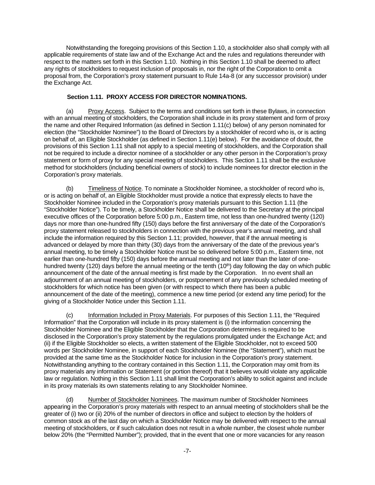Notwithstanding the foregoing provisions of this Section 1.10, a stockholder also shall comply with all applicable requirements of state law and of the Exchange Act and the rules and regulations thereunder with respect to the matters set forth in this Section 1.10. Nothing in this Section 1.10 shall be deemed to affect any rights of stockholders to request inclusion of proposals in, nor the right of the Corporation to omit a proposal from, the Corporation's proxy statement pursuant to Rule 14a-8 (or any successor provision) under the Exchange Act.

# **Section 1.11. PROXY ACCESS FOR DIRECTOR NOMINATIONS.**

(a) Proxy Access. Subject to the terms and conditions set forth in these Bylaws, in connection with an annual meeting of stockholders, the Corporation shall include in its proxy statement and form of proxy the name and other Required Information (as defined in Section 1.11(c) below) of any person nominated for election (the "Stockholder Nominee") to the Board of Directors by a stockholder of record who is, or is acting on behalf of, an Eligible Stockholder (as defined in Section 1.11(e) below). For the avoidance of doubt, the provisions of this Section 1.11 shall not apply to a special meeting of stockholders, and the Corporation shall not be required to include a director nominee of a stockholder or any other person in the Corporation's proxy statement or form of proxy for any special meeting of stockholders. This Section 1.11 shall be the exclusive method for stockholders (including beneficial owners of stock) to include nominees for director election in the Corporation's proxy materials.

(b) Timeliness of Notice. To nominate a Stockholder Nominee, a stockholder of record who is, or is acting on behalf of, an Eligible Stockholder must provide a notice that expressly elects to have the Stockholder Nominee included in the Corporation's proxy materials pursuant to this Section 1.11 (the "Stockholder Notice"). To be timely, a Stockholder Notice shall be delivered to the Secretary at the principal executive offices of the Corporation before 5:00 p.m., Eastern time, not less than one-hundred twenty (120) days nor more than one-hundred fifty (150) days before the first anniversary of the date of the Corporation's proxy statement released to stockholders in connection with the previous year's annual meeting, and shall include the information required by this Section 1.11; provided, however, that if the annual meeting is advanced or delayed by more than thirty (30) days from the anniversary of the date of the previous year's annual meeting, to be timely a Stockholder Notice must be so delivered before 5:00 p.m., Eastern time, not earlier than one-hundred fifty (150) days before the annual meeting and not later than the later of onehundred twenty (120) days before the annual meeting or the tenth (10<sup>th</sup>) day following the day on which public announcement of the date of the annual meeting is first made by the Corporation. In no event shall an adjournment of an annual meeting of stockholders, or postponement of any previously scheduled meeting of stockholders for which notice has been given (or with respect to which there has been a public announcement of the date of the meeting), commence a new time period (or extend any time period) for the giving of a Stockholder Notice under this Section 1.11.

(c) Information Included in Proxy Materials. For purposes of this Section 1.11, the "Required Information" that the Corporation will include in its proxy statement is (i) the information concerning the Stockholder Nominee and the Eligible Stockholder that the Corporation determines is required to be disclosed in the Corporation's proxy statement by the regulations promulgated under the Exchange Act; and (ii) if the Eligible Stockholder so elects, a written statement of the Eligible Stockholder, not to exceed 500 words per Stockholder Nominee, in support of each Stockholder Nominee (the "Statement"), which must be provided at the same time as the Stockholder Notice for inclusion in the Corporation's proxy statement. Notwithstanding anything to the contrary contained in this Section 1.11, the Corporation may omit from its proxy materials any information or Statement (or portion thereof) that it believes would violate any applicable law or regulation. Nothing in this Section 1.11 shall limit the Corporation's ability to solicit against and include in its proxy materials its own statements relating to any Stockholder Nominee.

(d) Number of Stockholder Nominees. The maximum number of Stockholder Nominees appearing in the Corporation's proxy materials with respect to an annual meeting of stockholders shall be the greater of (i) two or (ii) 20% of the number of directors in office and subject to election by the holders of common stock as of the last day on which a Stockholder Notice may be delivered with respect to the annual meeting of stockholders, or if such calculation does not result in a whole number, the closest whole number below 20% (the "Permitted Number"); provided, that in the event that one or more vacancies for any reason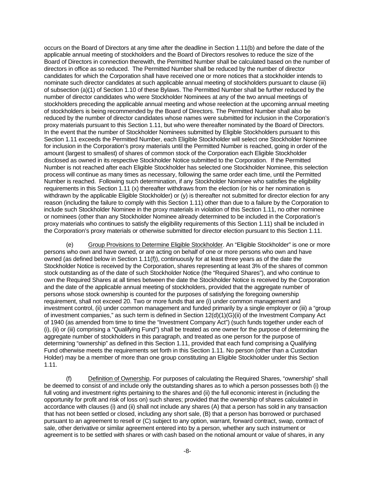occurs on the Board of Directors at any time after the deadline in Section 1.11(b) and before the date of the applicable annual meeting of stockholders and the Board of Directors resolves to reduce the size of the Board of Directors in connection therewith, the Permitted Number shall be calculated based on the number of directors in office as so reduced. The Permitted Number shall be reduced by the number of director candidates for which the Corporation shall have received one or more notices that a stockholder intends to nominate such director candidates at such applicable annual meeting of stockholders pursuant to clause (iii) of subsection (a)(1) of Section 1.10 of these Bylaws. The Permitted Number shall be further reduced by the number of director candidates who were Stockholder Nominees at any of the two annual meetings of stockholders preceding the applicable annual meeting and whose reelection at the upcoming annual meeting of stockholders is being recommended by the Board of Directors. The Permitted Number shall also be reduced by the number of director candidates whose names were submitted for inclusion in the Corporation's proxy materials pursuant to this Section 1.11, but who were thereafter nominated by the Board of Directors. In the event that the number of Stockholder Nominees submitted by Eligible Stockholders pursuant to this Section 1.11 exceeds the Permitted Number, each Eligible Stockholder will select one Stockholder Nominee for inclusion in the Corporation's proxy materials until the Permitted Number is reached, going in order of the amount (largest to smallest) of shares of common stock of the Corporation each Eligible Stockholder disclosed as owned in its respective Stockholder Notice submitted to the Corporation. If the Permitted Number is not reached after each Eligible Stockholder has selected one Stockholder Nominee, this selection process will continue as many times as necessary, following the same order each time, until the Permitted Number is reached. Following such determination, if any Stockholder Nominee who satisfies the eligibility requirements in this Section 1.11 (x) thereafter withdraws from the election (or his or her nomination is withdrawn by the applicable Eligible Stockholder) or (y) is thereafter not submitted for director election for any reason (including the failure to comply with this Section 1.11) other than due to a failure by the Corporation to include such Stockholder Nominee in the proxy materials in violation of this Section 1.11, no other nominee or nominees (other than any Stockholder Nominee already determined to be included in the Corporation's proxy materials who continues to satisfy the eligibility requirements of this Section 1.11) shall be included in the Corporation's proxy materials or otherwise submitted for director election pursuant to this Section 1.11.

(e) Group Provisions to Determine Eligible Stockholder. An "Eligible Stockholder" is one or more persons who own and have owned, or are acting on behalf of one or more persons who own and have owned (as defined below in Section 1.11(f)), continuously for at least three years as of the date the Stockholder Notice is received by the Corporation, shares representing at least 3% of the shares of common stock outstanding as of the date of such Stockholder Notice (the "Required Shares"), and who continue to own the Required Shares at all times between the date the Stockholder Notice is received by the Corporation and the date of the applicable annual meeting of stockholders, provided that the aggregate number of persons whose stock ownership is counted for the purposes of satisfying the foregoing ownership requirement, shall not exceed 20. Two or more funds that are (i) under common management and investment control, (ii) under common management and funded primarily by a single employer or (iii) a "group of investment companies," as such term is defined in Section 12(d)(1)(G)(ii) of the Investment Company Act of 1940 (as amended from time to time the "Investment Company Act") (such funds together under each of (i), (ii) or (iii) comprising a "Qualifying Fund") shall be treated as one owner for the purpose of determining the aggregate number of stockholders in this paragraph, and treated as one person for the purpose of determining "ownership" as defined in this Section 1.11, provided that each fund comprising a Qualifying Fund otherwise meets the requirements set forth in this Section 1.11. No person (other than a Custodian Holder) may be a member of more than one group constituting an Eligible Stockholder under this Section 1.11.

(f) Definition of Ownership. For purposes of calculating the Required Shares, "ownership" shall be deemed to consist of and include only the outstanding shares as to which a person possesses both (i) the full voting and investment rights pertaining to the shares and (ii) the full economic interest in (including the opportunity for profit and risk of loss on) such shares; provided that the ownership of shares calculated in accordance with clauses (i) and (ii) shall not include any shares (A) that a person has sold in any transaction that has not been settled or closed, including any short sale, (B) that a person has borrowed or purchased pursuant to an agreement to resell or (C) subject to any option, warrant, forward contract, swap, contract of sale, other derivative or similar agreement entered into by a person, whether any such instrument or agreement is to be settled with shares or with cash based on the notional amount or value of shares, in any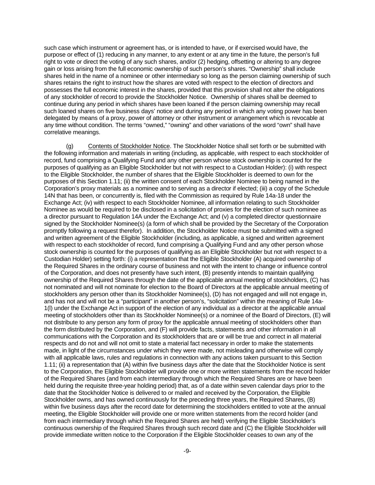such case which instrument or agreement has, or is intended to have, or if exercised would have, the purpose or effect of (1) reducing in any manner, to any extent or at any time in the future, the person's full right to vote or direct the voting of any such shares, and/or (2) hedging, offsetting or altering to any degree gain or loss arising from the full economic ownership of such person's shares. "Ownership" shall include shares held in the name of a nominee or other intermediary so long as the person claiming ownership of such shares retains the right to instruct how the shares are voted with respect to the election of directors and possesses the full economic interest in the shares, provided that this provision shall not alter the obligations of any stockholder of record to provide the Stockholder Notice. Ownership of shares shall be deemed to continue during any period in which shares have been loaned if the person claiming ownership may recall such loaned shares on five business days' notice and during any period in which any voting power has been delegated by means of a proxy, power of attorney or other instrument or arrangement which is revocable at any time without condition. The terms "owned," "owning" and other variations of the word "own" shall have correlative meanings.

(g) Contents of Stockholder Notice. The Stockholder Notice shall set forth or be submitted with the following information and materials in writing (including, as applicable, with respect to each stockholder of record, fund comprising a Qualifying Fund and any other person whose stock ownership is counted for the purposes of qualifying as an Eligible Stockholder but not with respect to a Custodian Holder): (i) with respect to the Eligible Stockholder, the number of shares that the Eligible Stockholder is deemed to own for the purposes of this Section 1.11; (ii) the written consent of each Stockholder Nominee to being named in the Corporation's proxy materials as a nominee and to serving as a director if elected; (iii) a copy of the Schedule 14N that has been, or concurrently is, filed with the Commission as required by Rule 14a-18 under the Exchange Act; (iv) with respect to each Stockholder Nominee, all information relating to such Stockholder Nominee as would be required to be disclosed in a solicitation of proxies for the election of such nominee as a director pursuant to Regulation 14A under the Exchange Act; and (v) a completed director questionnaire signed by the Stockholder Nominee(s) (a form of which shall be provided by the Secretary of the Corporation promptly following a request therefor). In addition, the Stockholder Notice must be submitted with a signed and written agreement of the Eligible Stockholder (including, as applicable, a signed and written agreement with respect to each stockholder of record, fund comprising a Qualifying Fund and any other person whose stock ownership is counted for the purposes of qualifying as an Eligible Stockholder but not with respect to a Custodian Holder) setting forth: (i) a representation that the Eligible Stockholder (A) acquired ownership of the Required Shares in the ordinary course of business and not with the intent to change or influence control of the Corporation, and does not presently have such intent, (B) presently intends to maintain qualifying ownership of the Required Shares through the date of the applicable annual meeting of stockholders, (C) has not nominated and will not nominate for election to the Board of Directors at the applicable annual meeting of stockholders any person other than its Stockholder Nominee(s), (D) has not engaged and will not engage in, and has not and will not be a "participant" in another person's, "solicitation" within the meaning of Rule 14a-1(l) under the Exchange Act in support of the election of any individual as a director at the applicable annual meeting of stockholders other than its Stockholder Nominee(s) or a nominee of the Board of Directors, (E) will not distribute to any person any form of proxy for the applicable annual meeting of stockholders other than the form distributed by the Corporation, and (F) will provide facts, statements and other information in all communications with the Corporation and its stockholders that are or will be true and correct in all material respects and do not and will not omit to state a material fact necessary in order to make the statements made, in light of the circumstances under which they were made, not misleading and otherwise will comply with all applicable laws, rules and regulations in connection with any actions taken pursuant to this Section 1.11; (ii) a representation that (A) within five business days after the date that the Stockholder Notice is sent to the Corporation, the Eligible Stockholder will provide one or more written statements from the record holder of the Required Shares (and from each intermediary through which the Required Shares are or have been held during the requisite three-year holding period) that, as of a date within seven calendar days prior to the date that the Stockholder Notice is delivered to or mailed and received by the Corporation, the Eligible Stockholder owns, and has owned continuously for the preceding three years, the Required Shares, (B) within five business days after the record date for determining the stockholders entitled to vote at the annual meeting, the Eligible Stockholder will provide one or more written statements from the record holder (and from each intermediary through which the Required Shares are held) verifying the Eligible Stockholder's continuous ownership of the Required Shares through such record date and (C) the Eligible Stockholder will provide immediate written notice to the Corporation if the Eligible Stockholder ceases to own any of the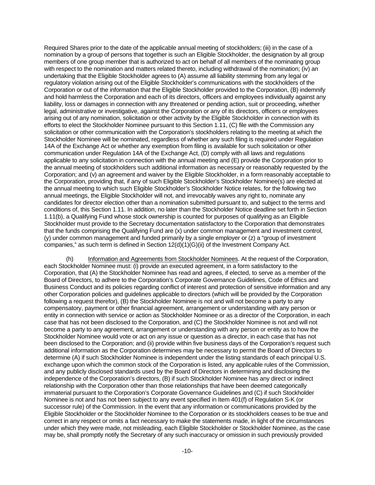Required Shares prior to the date of the applicable annual meeting of stockholders; (iii) in the case of a nomination by a group of persons that together is such an Eligible Stockholder, the designation by all group members of one group member that is authorized to act on behalf of all members of the nominating group with respect to the nomination and matters related thereto, including withdrawal of the nomination; (iv) an undertaking that the Eligible Stockholder agrees to (A) assume all liability stemming from any legal or regulatory violation arising out of the Eligible Stockholder's communications with the stockholders of the Corporation or out of the information that the Eligible Stockholder provided to the Corporation, (B) indemnify and hold harmless the Corporation and each of its directors, officers and employees individually against any liability, loss or damages in connection with any threatened or pending action, suit or proceeding, whether legal, administrative or investigative, against the Corporation or any of its directors, officers or employees arising out of any nomination, solicitation or other activity by the Eligible Stockholder in connection with its efforts to elect the Stockholder Nominee pursuant to this Section 1.11, (C) file with the Commission any solicitation or other communication with the Corporation's stockholders relating to the meeting at which the Stockholder Nominee will be nominated, regardless of whether any such filing is required under Regulation 14A of the Exchange Act or whether any exemption from filing is available for such solicitation or other communication under Regulation 14A of the Exchange Act, (D) comply with all laws and regulations applicable to any solicitation in connection with the annual meeting and (E) provide the Corporation prior to the annual meeting of stockholders such additional information as necessary or reasonably requested by the Corporation; and (v) an agreement and waiver by the Eligible Stockholder, in a form reasonably acceptable to the Corporation, providing that, if any of such Eligible Stockholder's Stockholder Nominee(s) are elected at the annual meeting to which such Eligible Stockholder's Stockholder Notice relates, for the following two annual meetings, the Eligible Stockholder will not, and irrevocably waives any right to, nominate any candidates for director election other than a nomination submitted pursuant to, and subject to the terms and conditions of, this Section 1.11. In addition, no later than the Stockholder Notice deadline set forth in Section 1.11(b), a Qualifying Fund whose stock ownership is counted for purposes of qualifying as an Eligible Stockholder must provide to the Secretary documentation satisfactory to the Corporation that demonstrates that the funds comprising the Qualifying Fund are (x) under common management and investment control, (y) under common management and funded primarily by a single employer or (z) a "group of investment companies," as such term is defined in Section 12(d)(1)(G)(ii) of the Investment Company Act.

(h) Information and Agreements from Stockholder Nominees. At the request of the Corporation, each Stockholder Nominee must: (i) provide an executed agreement, in a form satisfactory to the Corporation, that (A) the Stockholder Nominee has read and agrees, if elected, to serve as a member of the Board of Directors, to adhere to the Corporation's Corporate Governance Guidelines, Code of Ethics and Business Conduct and its policies regarding conflict of interest and protection of sensitive information and any other Corporation policies and guidelines applicable to directors (which will be provided by the Corporation following a request therefor), (B) the Stockholder Nominee is not and will not become a party to any compensatory, payment or other financial agreement, arrangement or understanding with any person or entity in connection with service or action as Stockholder Nominee or as a director of the Corporation, in each case that has not been disclosed to the Corporation, and (C) the Stockholder Nominee is not and will not become a party to any agreement, arrangement or understanding with any person or entity as to how the Stockholder Nominee would vote or act on any issue or question as a director, in each case that has not been disclosed to the Corporation; and (ii) provide within five business days of the Corporation's request such additional information as the Corporation determines may be necessary to permit the Board of Directors to determine (A) if such Stockholder Nominee is independent under the listing standards of each principal U.S. exchange upon which the common stock of the Corporation is listed, any applicable rules of the Commission, and any publicly disclosed standards used by the Board of Directors in determining and disclosing the independence of the Corporation's directors, (B) if such Stockholder Nominee has any direct or indirect relationship with the Corporation other than those relationships that have been deemed categorically immaterial pursuant to the Corporation's Corporate Governance Guidelines and (C) if such Stockholder Nominee is not and has not been subject to any event specified in Item 401(f) of Regulation S-K (or successor rule) of the Commission. In the event that any information or communications provided by the Eligible Stockholder or the Stockholder Nominee to the Corporation or its stockholders ceases to be true and correct in any respect or omits a fact necessary to make the statements made, in light of the circumstances under which they were made, not misleading, each Eligible Stockholder or Stockholder Nominee, as the case may be, shall promptly notify the Secretary of any such inaccuracy or omission in such previously provided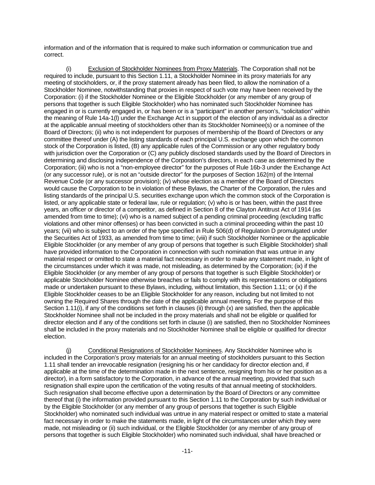information and of the information that is required to make such information or communication true and correct.

(i) Exclusion of Stockholder Nominees from Proxy Materials. The Corporation shall not be required to include, pursuant to this Section 1.11, a Stockholder Nominee in its proxy materials for any meeting of stockholders, or, if the proxy statement already has been filed, to allow the nomination of a Stockholder Nominee, notwithstanding that proxies in respect of such vote may have been received by the Corporation: (i) if the Stockholder Nominee or the Eligible Stockholder (or any member of any group of persons that together is such Eligible Stockholder) who has nominated such Stockholder Nominee has engaged in or is currently engaged in, or has been or is a "participant" in another person's, "solicitation" within the meaning of Rule 14a-1(l) under the Exchange Act in support of the election of any individual as a director at the applicable annual meeting of stockholders other than its Stockholder Nominee(s) or a nominee of the Board of Directors; (ii) who is not independent for purposes of membership of the Board of Directors or any committee thereof under (A) the listing standards of each principal U.S. exchange upon which the common stock of the Corporation is listed, (B) any applicable rules of the Commission or any other regulatory body with jurisdiction over the Corporation or (C) any publicly disclosed standards used by the Board of Directors in determining and disclosing independence of the Corporation's directors, in each case as determined by the Corporation; (iii) who is not a "non-employee director" for the purposes of Rule 16b-3 under the Exchange Act (or any successor rule), or is not an "outside director" for the purposes of Section 162(m) of the Internal Revenue Code (or any successor provision); (iv) whose election as a member of the Board of Directors would cause the Corporation to be in violation of these Bylaws, the Charter of the Corporation, the rules and listing standards of the principal U.S. securities exchange upon which the common stock of the Corporation is listed, or any applicable state or federal law, rule or regulation; (v) who is or has been, within the past three years, an officer or director of a competitor, as defined in Section 8 of the Clayton Antitrust Act of 1914 (as amended from time to time); (vi) who is a named subject of a pending criminal proceeding (excluding traffic violations and other minor offenses) or has been convicted in such a criminal proceeding within the past 10 years; (vii) who is subject to an order of the type specified in Rule 506(d) of Regulation D promulgated under the Securities Act of 1933, as amended from time to time; (viii) if such Stockholder Nominee or the applicable Eligible Stockholder (or any member of any group of persons that together is such Eligible Stockholder) shall have provided information to the Corporation in connection with such nomination that was untrue in any material respect or omitted to state a material fact necessary in order to make any statement made, in light of the circumstances under which it was made, not misleading, as determined by the Corporation; (ix) if the Eligible Stockholder (or any member of any group of persons that together is such Eligible Stockholder) or applicable Stockholder Nominee otherwise breaches or fails to comply with its representations or obligations made or undertaken pursuant to these Bylaws, including, without limitation, this Section 1.11; or (x) if the Eligible Stockholder ceases to be an Eligible Stockholder for any reason, including but not limited to not owning the Required Shares through the date of the applicable annual meeting. For the purpose of this Section 1.11(i), if any of the conditions set forth in clauses (ii) through (x) are satisfied, then the applicable Stockholder Nominee shall not be included in the proxy materials and shall not be eligible or qualified for director election and if any of the conditions set forth in clause (i) are satisfied, then no Stockholder Nominees shall be included in the proxy materials and no Stockholder Nominee shall be eligible or qualified for director election.

(j) Conditional Resignations of Stockholder Nominees. Any Stockholder Nominee who is included in the Corporation's proxy materials for an annual meeting of stockholders pursuant to this Section 1.11 shall tender an irrevocable resignation (resigning his or her candidacy for director election and, if applicable at the time of the determination made in the next sentence, resigning from his or her position as a director), in a form satisfactory to the Corporation, in advance of the annual meeting, provided that such resignation shall expire upon the certification of the voting results of that annual meeting of stockholders. Such resignation shall become effective upon a determination by the Board of Directors or any committee thereof that (i) the information provided pursuant to this Section 1.11 to the Corporation by such individual or by the Eligible Stockholder (or any member of any group of persons that together is such Eligible Stockholder) who nominated such individual was untrue in any material respect or omitted to state a material fact necessary in order to make the statements made, in light of the circumstances under which they were made, not misleading or (ii) such individual, or the Eligible Stockholder (or any member of any group of persons that together is such Eligible Stockholder) who nominated such individual, shall have breached or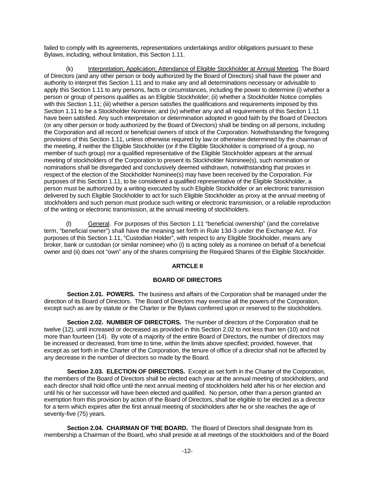failed to comply with its agreements, representations undertakings and/or obligations pursuant to these Bylaws, including, without limitation, this Section 1.11.

(k) Interpretation; Application; Attendance of Eligible Stockholder at Annual Meeting. The Board of Directors (and any other person or body authorized by the Board of Directors) shall have the power and authority to interpret this Section 1.11 and to make any and all determinations necessary or advisable to apply this Section 1.11 to any persons, facts or circumstances, including the power to determine (i) whether a person or group of persons qualifies as an Eligible Stockholder; (ii) whether a Stockholder Notice complies with this Section 1.11; (iii) whether a person satisfies the qualifications and requirements imposed by this Section 1.11 to be a Stockholder Nominee; and (iv) whether any and all requirements of this Section 1.11 have been satisfied. Any such interpretation or determination adopted in good faith by the Board of Directors (or any other person or body authorized by the Board of Directors) shall be binding on all persons, including the Corporation and all record or beneficial owners of stock of the Corporation. Notwithstanding the foregoing provisions of this Section 1.11, unless otherwise required by law or otherwise determined by the chairman of the meeting, if neither the Eligible Stockholder (or if the Eligible Stockholder is comprised of a group, no member of such group) nor a qualified representative of the Eligible Stockholder appears at the annual meeting of stockholders of the Corporation to present its Stockholder Nominee(s), such nomination or nominations shall be disregarded and conclusively deemed withdrawn, notwithstanding that proxies in respect of the election of the Stockholder Nominee(s) may have been received by the Corporation. For purposes of this Section 1.11, to be considered a qualified representative of the Eligible Stockholder, a person must be authorized by a writing executed by such Eligible Stockholder or an electronic transmission delivered by such Eligible Stockholder to act for such Eligible Stockholder as proxy at the annual meeting of stockholders and such person must produce such writing or electronic transmission, or a reliable reproduction of the writing or electronic transmission, at the annual meeting of stockholders.

(l) General. For purposes of this Section 1.11 "beneficial ownership" (and the correlative term, "beneficial owner") shall have the meaning set forth in Rule 13d-3 under the Exchange Act. For purposes of this Section 1.11, "Custodian Holder", with respect to any Eligible Stockholder, means any broker, bank or custodian (or similar nominee) who (i) is acting solely as a nominee on behalf of a beneficial owner and (ii) does not "own" any of the shares comprising the Required Shares of the Eligible Stockholder.

# **ARTICLE II**

# **BOARD OF DIRECTORS**

**Section 2.01. POWERS.** The business and affairs of the Corporation shall be managed under the direction of its Board of Directors. The Board of Directors may exercise all the powers of the Corporation, except such as are by statute or the Charter or the Bylaws conferred upon or reserved to the stockholders.

**Section 2.02. NUMBER OF DIRECTORS.** The number of directors of the Corporation shall be twelve (12), until increased or decreased as provided in this Section 2.02 to not less than ten (10) and not more than fourteen (14). By vote of a majority of the entire Board of Directors, the number of directors may be increased or decreased, from time to time, within the limits above specified; provided, however, that except as set forth in the Charter of the Corporation, the tenure of office of a director shall not be affected by any decrease in the number of directors so made by the Board.

**Section 2.03. ELECTION OF DIRECTORS.** Except as set forth in the Charter of the Corporation, the members of the Board of Directors shall be elected each year at the annual meeting of stockholders, and each director shall hold office until the next annual meeting of stockholders held after his or her election and until his or her successor will have been elected and qualified. No person, other than a person granted an exemption from this provision by action of the Board of Directors, shall be eligible to be elected as a director for a term which expires after the first annual meeting of stockholders after he or she reaches the age of seventy-five (75) years.

**Section 2.04. CHAIRMAN OF THE BOARD.** The Board of Directors shall designate from its membership a Chairman of the Board, who shall preside at all meetings of the stockholders and of the Board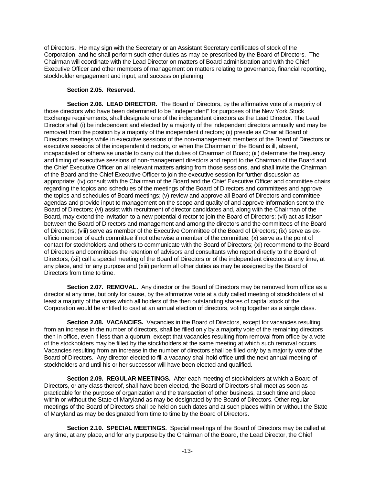of Directors. He may sign with the Secretary or an Assistant Secretary certificates of stock of the Corporation, and he shall perform such other duties as may be prescribed by the Board of Directors. The Chairman will coordinate with the Lead Director on matters of Board administration and with the Chief Executive Officer and other members of management on matters relating to governance, financial reporting, stockholder engagement and input, and succession planning.

# **Section 2.05. Reserved.**

**Section 2.06. LEAD DIRECTOR.** The Board of Directors, by the affirmative vote of a majority of those directors who have been determined to be "independent" for purposes of the New York Stock Exchange requirements, shall designate one of the independent directors as the Lead Director. The Lead Director shall (i) be independent and elected by a majority of the independent directors annually and may be removed from the position by a majority of the independent directors; (ii) preside as Chair at Board of Directors meetings while in executive sessions of the non-management members of the Board of Directors or executive sessions of the independent directors, or when the Chairman of the Board is ill, absent, incapacitated or otherwise unable to carry out the duties of Chairman of Board; (iii) determine the frequency and timing of executive sessions of non-management directors and report to the Chairman of the Board and the Chief Executive Officer on all relevant matters arising from those sessions, and shall invite the Chairman of the Board and the Chief Executive Officer to join the executive session for further discussion as appropriate; (iv) consult with the Chairman of the Board and the Chief Executive Officer and committee chairs regarding the topics and schedules of the meetings of the Board of Directors and committees and approve the topics and schedules of Board meetings; (v) review and approve all Board of Directors and committee agendas and provide input to management on the scope and quality of and approve information sent to the Board of Directors; (vi) assist with recruitment of director candidates and, along with the Chairman of the Board, may extend the invitation to a new potential director to join the Board of Directors; (vii) act as liaison between the Board of Directors and management and among the directors and the committees of the Board of Directors; (viii) serve as member of the Executive Committee of the Board of Directors; (ix) serve as exofficio member of each committee if not otherwise a member of the committee; (x) serve as the point of contact for stockholders and others to communicate with the Board of Directors; (xi) recommend to the Board of Directors and committees the retention of advisors and consultants who report directly to the Board of Directors; (xii) call a special meeting of the Board of Directors or of the independent directors at any time, at any place, and for any purpose and (xiii) perform all other duties as may be assigned by the Board of Directors from time to time.

Section 2.07. REMOVAL. Any director or the Board of Directors may be removed from office as a director at any time, but only for cause, by the affirmative vote at a duly called meeting of stockholders of at least a majority of the votes which all holders of the then outstanding shares of capital stock of the Corporation would be entitled to cast at an annual election of directors, voting together as a single class.

**Section 2.08. VACANCIES.** Vacancies in the Board of Directors, except for vacancies resulting from an increase in the number of directors, shall be filled only by a majority vote of the remaining directors then in office, even if less than a quorum, except that vacancies resulting from removal from office by a vote of the stockholders may be filled by the stockholders at the same meeting at which such removal occurs. Vacancies resulting from an increase in the number of directors shall be filled only by a majority vote of the Board of Directors. Any director elected to fill a vacancy shall hold office until the next annual meeting of stockholders and until his or her successor will have been elected and qualified.

**Section 2.09. REGULAR MEETINGS.** After each meeting of stockholders at which a Board of Directors, or any class thereof, shall have been elected, the Board of Directors shall meet as soon as practicable for the purpose of organization and the transaction of other business, at such time and place within or without the State of Maryland as may be designated by the Board of Directors. Other regular meetings of the Board of Directors shall be held on such dates and at such places within or without the State of Maryland as may be designated from time to time by the Board of Directors.

**Section 2.10. SPECIAL MEETINGS.** Special meetings of the Board of Directors may be called at any time, at any place, and for any purpose by the Chairman of the Board, the Lead Director, the Chief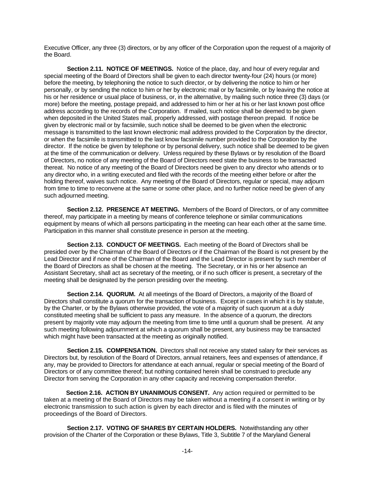Executive Officer, any three (3) directors, or by any officer of the Corporation upon the request of a majority of the Board.

**Section 2.11. NOTICE OF MEETINGS.** Notice of the place, day, and hour of every regular and special meeting of the Board of Directors shall be given to each director twenty-four (24) hours (or more) before the meeting, by telephoning the notice to such director, or by delivering the notice to him or her personally, or by sending the notice to him or her by electronic mail or by facsimile, or by leaving the notice at his or her residence or usual place of business, or, in the alternative, by mailing such notice three (3) days (or more) before the meeting, postage prepaid, and addressed to him or her at his or her last known post office address according to the records of the Corporation. If mailed, such notice shall be deemed to be given when deposited in the United States mail, properly addressed, with postage thereon prepaid. If notice be given by electronic mail or by facsimile, such notice shall be deemed to be given when the electronic message is transmitted to the last known electronic mail address provided to the Corporation by the director, or when the facsimile is transmitted to the last know facsimile number provided to the Corporation by the director. If the notice be given by telephone or by personal delivery, such notice shall be deemed to be given at the time of the communication or delivery. Unless required by these Bylaws or by resolution of the Board of Directors, no notice of any meeting of the Board of Directors need state the business to be transacted thereat. No notice of any meeting of the Board of Directors need be given to any director who attends or to any director who, in a writing executed and filed with the records of the meeting either before or after the holding thereof, waives such notice. Any meeting of the Board of Directors, regular or special, may adjourn from time to time to reconvene at the same or some other place, and no further notice need be given of any such adjourned meeting.

**Section 2.12. PRESENCE AT MEETING.** Members of the Board of Directors, or of any committee thereof, may participate in a meeting by means of conference telephone or similar communications equipment by means of which all persons participating in the meeting can hear each other at the same time. Participation in this manner shall constitute presence in person at the meeting.

**Section 2.13. CONDUCT OF MEETINGS.** Each meeting of the Board of Directors shall be presided over by the Chairman of the Board of Directors or if the Chairman of the Board is not present by the Lead Director and if none of the Chairman of the Board and the Lead Director is present by such member of the Board of Directors as shall be chosen at the meeting. The Secretary, or in his or her absence an Assistant Secretary, shall act as secretary of the meeting, or if no such officer is present, a secretary of the meeting shall be designated by the person presiding over the meeting.

**Section 2.14. QUORUM.** At all meetings of the Board of Directors, a majority of the Board of Directors shall constitute a quorum for the transaction of business. Except in cases in which it is by statute, by the Charter, or by the Bylaws otherwise provided, the vote of a majority of such quorum at a duly constituted meeting shall be sufficient to pass any measure. In the absence of a quorum, the directors present by majority vote may adjourn the meeting from time to time until a quorum shall be present. At any such meeting following adjournment at which a quorum shall be present, any business may be transacted which might have been transacted at the meeting as originally notified.

**Section 2.15. COMPENSATION.** Directors shall not receive any stated salary for their services as Directors but, by resolution of the Board of Directors, annual retainers, fees and expenses of attendance, if any, may be provided to Directors for attendance at each annual, regular or special meeting of the Board of Directors or of any committee thereof; but nothing contained herein shall be construed to preclude any Director from serving the Corporation in any other capacity and receiving compensation therefor.

**Section 2.16. ACTION BY UNANIMOUS CONSENT.** Any action required or permitted to be taken at a meeting of the Board of Directors may be taken without a meeting if a consent in writing or by electronic transmission to such action is given by each director and is filed with the minutes of proceedings of the Board of Directors.

**Section 2.17. VOTING OF SHARES BY CERTAIN HOLDERS.** Notwithstanding any other provision of the Charter of the Corporation or these Bylaws, Title 3, Subtitle 7 of the Maryland General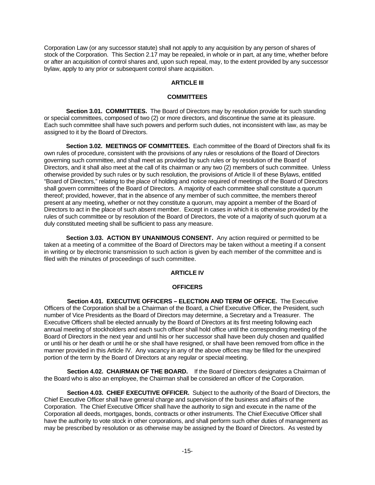Corporation Law (or any successor statute) shall not apply to any acquisition by any person of shares of stock of the Corporation. This Section 2.17 may be repealed, in whole or in part, at any time, whether before or after an acquisition of control shares and, upon such repeal, may, to the extent provided by any successor bylaw, apply to any prior or subsequent control share acquisition.

# **ARTICLE III**

#### **COMMITTEES**

**Section 3.01. COMMITTEES.** The Board of Directors may by resolution provide for such standing or special committees, composed of two (2) or more directors, and discontinue the same at its pleasure. Each such committee shall have such powers and perform such duties, not inconsistent with law, as may be assigned to it by the Board of Directors.

**Section 3.02. MEETINGS OF COMMITTEES.** Each committee of the Board of Directors shall fix its own rules of procedure, consistent with the provisions of any rules or resolutions of the Board of Directors governing such committee, and shall meet as provided by such rules or by resolution of the Board of Directors, and it shall also meet at the call of its chairman or any two (2) members of such committee. Unless otherwise provided by such rules or by such resolution, the provisions of Article II of these Bylaws, entitled "Board of Directors," relating to the place of holding and notice required of meetings of the Board of Directors shall govern committees of the Board of Directors. A majority of each committee shall constitute a quorum thereof; provided, however, that in the absence of any member of such committee, the members thereof present at any meeting, whether or not they constitute a quorum, may appoint a member of the Board of Directors to act in the place of such absent member. Except in cases in which it is otherwise provided by the rules of such committee or by resolution of the Board of Directors, the vote of a majority of such quorum at a duly constituted meeting shall be sufficient to pass any measure.

**Section 3.03. ACTION BY UNANIMOUS CONSENT.** Any action required or permitted to be taken at a meeting of a committee of the Board of Directors may be taken without a meeting if a consent in writing or by electronic transmission to such action is given by each member of the committee and is filed with the minutes of proceedings of such committee.

#### **ARTICLE IV**

#### **OFFICERS**

**Section 4.01. EXECUTIVE OFFICERS – ELECTION AND TERM OF OFFICE.** The Executive Officers of the Corporation shall be a Chairman of the Board, a Chief Executive Officer, the President, such number of Vice Presidents as the Board of Directors may determine, a Secretary and a Treasurer. The Executive Officers shall be elected annually by the Board of Directors at its first meeting following each annual meeting of stockholders and each such officer shall hold office until the corresponding meeting of the Board of Directors in the next year and until his or her successor shall have been duly chosen and qualified or until his or her death or until he or she shall have resigned, or shall have been removed from office in the manner provided in this Article IV. Any vacancy in any of the above offices may be filled for the unexpired portion of the term by the Board of Directors at any regular or special meeting.

**Section 4.02. CHAIRMAN OF THE BOARD.** If the Board of Directors designates a Chairman of the Board who is also an employee, the Chairman shall be considered an officer of the Corporation.

**Section 4.03. CHIEF EXECUTIVE OFFICER.** Subject to the authority of the Board of Directors, the Chief Executive Officer shall have general charge and supervision of the business and affairs of the Corporation. The Chief Executive Officer shall have the authority to sign and execute in the name of the Corporation all deeds, mortgages, bonds, contracts or other instruments. The Chief Executive Officer shall have the authority to vote stock in other corporations, and shall perform such other duties of management as may be prescribed by resolution or as otherwise may be assigned by the Board of Directors. As vested by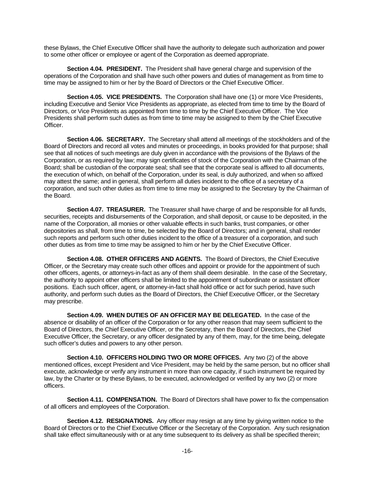these Bylaws, the Chief Executive Officer shall have the authority to delegate such authorization and power to some other officer or employee or agent of the Corporation as deemed appropriate.

**Section 4.04. PRESIDENT.** The President shall have general charge and supervision of the operations of the Corporation and shall have such other powers and duties of management as from time to time may be assigned to him or her by the Board of Directors or the Chief Executive Officer.

**Section 4.05. VICE PRESIDENTS.** The Corporation shall have one (1) or more Vice Presidents, including Executive and Senior Vice Presidents as appropriate, as elected from time to time by the Board of Directors, or Vice Presidents as appointed from time to time by the Chief Executive Officer. The Vice Presidents shall perform such duties as from time to time may be assigned to them by the Chief Executive Officer.

**Section 4.06. SECRETARY.** The Secretary shall attend all meetings of the stockholders and of the Board of Directors and record all votes and minutes or proceedings, in books provided for that purpose; shall see that all notices of such meetings are duly given in accordance with the provisions of the Bylaws of the Corporation, or as required by law; may sign certificates of stock of the Corporation with the Chairman of the Board; shall be custodian of the corporate seal; shall see that the corporate seal is affixed to all documents, the execution of which, on behalf of the Corporation, under its seal, is duly authorized, and when so affixed may attest the same; and in general, shall perform all duties incident to the office of a secretary of a corporation, and such other duties as from time to time may be assigned to the Secretary by the Chairman of the Board.

**Section 4.07. TREASURER.** The Treasurer shall have charge of and be responsible for all funds, securities, receipts and disbursements of the Corporation, and shall deposit, or cause to be deposited, in the name of the Corporation, all monies or other valuable effects in such banks, trust companies, or other depositories as shall, from time to time, be selected by the Board of Directors; and in general, shall render such reports and perform such other duties incident to the office of a treasurer of a corporation, and such other duties as from time to time may be assigned to him or her by the Chief Executive Officer.

**Section 4.08. OTHER OFFICERS AND AGENTS.** The Board of Directors, the Chief Executive Officer, or the Secretary may create such other offices and appoint or provide for the appointment of such other officers, agents, or attorneys-in-fact as any of them shall deem desirable. In the case of the Secretary, the authority to appoint other officers shall be limited to the appointment of subordinate or assistant officer positions. Each such officer, agent, or attorney-in-fact shall hold office or act for such period, have such authority, and perform such duties as the Board of Directors, the Chief Executive Officer, or the Secretary may prescribe.

**Section 4.09. WHEN DUTIES OF AN OFFICER MAY BE DELEGATED.** In the case of the absence or disability of an officer of the Corporation or for any other reason that may seem sufficient to the Board of Directors, the Chief Executive Officer, or the Secretary, then the Board of Directors, the Chief Executive Officer, the Secretary, or any officer designated by any of them, may, for the time being, delegate such officer's duties and powers to any other person.

**Section 4.10. OFFICERS HOLDING TWO OR MORE OFFICES.** Any two (2) of the above mentioned offices, except President and Vice President, may be held by the same person, but no officer shall execute, acknowledge or verify any instrument in more than one capacity, if such instrument be required by law, by the Charter or by these Bylaws, to be executed, acknowledged or verified by any two (2) or more officers.

**Section 4.11. COMPENSATION.** The Board of Directors shall have power to fix the compensation of all officers and employees of the Corporation.

Section 4.12. RESIGNATIONS. Any officer may resign at any time by giving written notice to the Board of Directors or to the Chief Executive Officer or the Secretary of the Corporation. Any such resignation shall take effect simultaneously with or at any time subsequent to its delivery as shall be specified therein;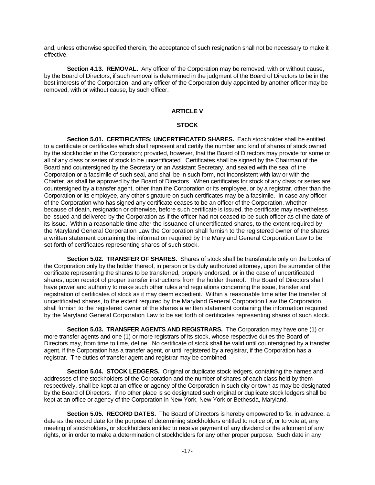and, unless otherwise specified therein, the acceptance of such resignation shall not be necessary to make it effective.

**Section 4.13. REMOVAL.** Any officer of the Corporation may be removed, with or without cause, by the Board of Directors, if such removal is determined in the judgment of the Board of Directors to be in the best interests of the Corporation, and any officer of the Corporation duly appointed by another officer may be removed, with or without cause, by such officer.

# **ARTICLE V**

# **STOCK**

**Section 5.01. CERTIFICATES; UNCERTIFICATED SHARES.** Each stockholder shall be entitled to a certificate or certificates which shall represent and certify the number and kind of shares of stock owned by the stockholder in the Corporation; provided, however, that the Board of Directors may provide for some or all of any class or series of stock to be uncertificated. Certificates shall be signed by the Chairman of the Board and countersigned by the Secretary or an Assistant Secretary, and sealed with the seal of the Corporation or a facsimile of such seal, and shall be in such form, not inconsistent with law or with the Charter, as shall be approved by the Board of Directors. When certificates for stock of any class or series are countersigned by a transfer agent, other than the Corporation or its employee, or by a registrar, other than the Corporation or its employee, any other signature on such certificates may be a facsimile. In case any officer of the Corporation who has signed any certificate ceases to be an officer of the Corporation, whether because of death, resignation or otherwise, before such certificate is issued, the certificate may nevertheless be issued and delivered by the Corporation as if the officer had not ceased to be such officer as of the date of its issue. Within a reasonable time after the issuance of uncertificated shares, to the extent required by the Maryland General Corporation Law the Corporation shall furnish to the registered owner of the shares a written statement containing the information required by the Maryland General Corporation Law to be set forth of certificates representing shares of such stock.

**Section 5.02. TRANSFER OF SHARES.** Shares of stock shall be transferable only on the books of the Corporation only by the holder thereof, in person or by duly authorized attorney, upon the surrender of the certificate representing the shares to be transferred, properly endorsed, or in the case of uncertificated shares, upon receipt of proper transfer instructions from the holder thereof. The Board of Directors shall have power and authority to make such other rules and regulations concerning the issue, transfer and registration of certificates of stock as it may deem expedient. Within a reasonable time after the transfer of uncertificated shares, to the extent required by the Maryland General Corporation Law the Corporation shall furnish to the registered owner of the shares a written statement containing the information required by the Maryland General Corporation Law to be set forth of certificates representing shares of such stock.

**Section 5.03. TRANSFER AGENTS AND REGISTRARS.** The Corporation may have one (1) or more transfer agents and one (1) or more registrars of its stock, whose respective duties the Board of Directors may, from time to time, define. No certificate of stock shall be valid until countersigned by a transfer agent, if the Corporation has a transfer agent, or until registered by a registrar, if the Corporation has a registrar. The duties of transfer agent and registrar may be combined.

**Section 5.04. STOCK LEDGERS.** Original or duplicate stock ledgers, containing the names and addresses of the stockholders of the Corporation and the number of shares of each class held by them respectively, shall be kept at an office or agency of the Corporation in such city or town as may be designated by the Board of Directors. If no other place is so designated such original or duplicate stock ledgers shall be kept at an office or agency of the Corporation in New York, New York or Bethesda, Maryland.

**Section 5.05. RECORD DATES.** The Board of Directors is hereby empowered to fix, in advance, a date as the record date for the purpose of determining stockholders entitled to notice of, or to vote at, any meeting of stockholders, or stockholders entitled to receive payment of any dividend or the allotment of any rights, or in order to make a determination of stockholders for any other proper purpose. Such date in any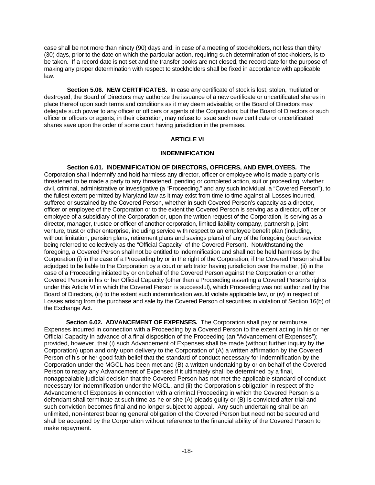case shall be not more than ninety (90) days and, in case of a meeting of stockholders, not less than thirty (30) days, prior to the date on which the particular action, requiring such determination of stockholders, is to be taken. If a record date is not set and the transfer books are not closed, the record date for the purpose of making any proper determination with respect to stockholders shall be fixed in accordance with applicable law.

**Section 5.06. NEW CERTIFICATES.** In case any certificate of stock is lost, stolen, mutilated or destroyed, the Board of Directors may authorize the issuance of a new certificate or uncertificated shares in place thereof upon such terms and conditions as it may deem advisable; or the Board of Directors may delegate such power to any officer or officers or agents of the Corporation; but the Board of Directors or such officer or officers or agents, in their discretion, may refuse to issue such new certificate or uncertificated shares save upon the order of some court having jurisdiction in the premises.

#### **ARTICLE VI**

#### **INDEMNIFICATION**

**Section 6.01. INDEMNIFICATION OF DIRECTORS, OFFICERS, AND EMPLOYEES.** The Corporation shall indemnify and hold harmless any director, officer or employee who is made a party or is threatened to be made a party to any threatened, pending or completed action, suit or proceeding, whether civil, criminal, administrative or investigative (a "Proceeding," and any such individual, a "Covered Person"), to the fullest extent permitted by Maryland law as it may exist from time to time against all Losses incurred, suffered or sustained by the Covered Person, whether in such Covered Person's capacity as a director, officer or employee of the Corporation or to the extent the Covered Person is serving as a director, officer or employee of a subsidiary of the Corporation or, upon the written request of the Corporation, is serving as a director, manager, trustee or officer of another corporation, limited liability company, partnership, joint venture, trust or other enterprise, including service with respect to an employee benefit plan (including, without limitation, pension plans, retirement plans and savings plans) of any of the foregoing (such service being referred to collectively as the "Official Capacity" of the Covered Person). Notwithstanding the foregoing, a Covered Person shall not be entitled to indemnification and shall not be held harmless by the Corporation (i) in the case of a Proceeding by or in the right of the Corporation, if the Covered Person shall be adjudged to be liable to the Corporation by a court or arbitrator having jurisdiction over the matter, (ii) in the case of a Proceeding initiated by or on behalf of the Covered Person against the Corporation or another Covered Person in his or her Official Capacity (other than a Proceeding asserting a Covered Person's rights under this Article VI in which the Covered Person is successful), which Proceeding was not authorized by the Board of Directors, (iii) to the extent such indemnification would violate applicable law, or (iv) in respect of Losses arising from the purchase and sale by the Covered Person of securities in violation of Section 16(b) of the Exchange Act.

**Section 6.02. ADVANCEMENT OF EXPENSES.** The Corporation shall pay or reimburse Expenses incurred in connection with a Proceeding by a Covered Person to the extent acting in his or her Official Capacity in advance of a final disposition of the Proceeding (an "Advancement of Expenses"); provided, however, that (i) such Advancement of Expenses shall be made (without further inquiry by the Corporation) upon and only upon delivery to the Corporation of (A) a written affirmation by the Covered Person of his or her good faith belief that the standard of conduct necessary for indemnification by the Corporation under the MGCL has been met and (B) a written undertaking by or on behalf of the Covered Person to repay any Advancement of Expenses if it ultimately shall be determined by a final, nonappealable judicial decision that the Covered Person has not met the applicable standard of conduct necessary for indemnification under the MGCL, and (ii) the Corporation's obligation in respect of the Advancement of Expenses in connection with a criminal Proceeding in which the Covered Person is a defendant shall terminate at such time as he or she (A) pleads guilty or (B) is convicted after trial and such conviction becomes final and no longer subject to appeal. Any such undertaking shall be an unlimited, non-interest bearing general obligation of the Covered Person but need not be secured and shall be accepted by the Corporation without reference to the financial ability of the Covered Person to make repayment.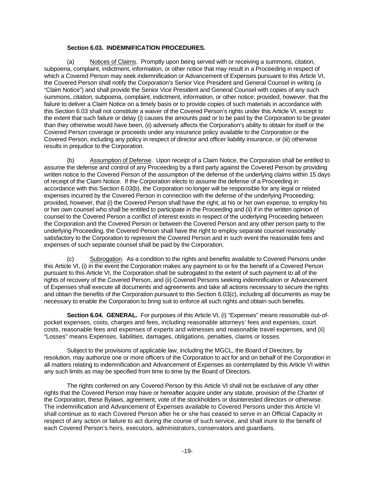# **Section 6.03. INDEMNIFICATION PROCEDURES.**

(a) Notices of Claims. Promptly upon being served with or receiving a summons, citation, subpoena, complaint, indictment, information, or other notice that may result in a Proceeding in respect of which a Covered Person may seek indemnification or Advancement of Expenses pursuant to this Article VI, the Covered Person shall notify the Corporation's Senior Vice President and General Counsel in writing (a "Claim Notice") and shall provide the Senior Vice President and General Counsel with copies of any such summons, citation, subpoena, complaint, indictment, information, or other notice; provided, however, that the failure to deliver a Claim Notice on a timely basis or to provide copies of such materials in accordance with this Section 6.03 shall not constitute a waiver of the Covered Person's rights under this Article VI, except to the extent that such failure or delay (i) causes the amounts paid or to be paid by the Corporation to be greater than they otherwise would have been, (ii) adversely affects the Corporation's ability to obtain for itself or the Covered Person coverage or proceeds under any insurance policy available to the Corporation or the Covered Person, including any policy in respect of director and officer liability insurance, or (iii) otherwise results in prejudice to the Corporation.

(b) Assumption of Defense. Upon receipt of a Claim Notice, the Corporation shall be entitled to assume the defense and control of any Proceeding by a third party against the Covered Person by providing written notice to the Covered Person of the assumption of the defense of the underlying claims within 15 days of receipt of the Claim Notice. If the Corporation elects to assume the defense of a Proceeding in accordance with this Section 6.03(b), the Corporation no longer will be responsible for any legal or related expenses incurred by the Covered Person in connection with the defense of the underlying Proceeding; provided, however, that (i) the Covered Person shall have the right, at his or her own expense, to employ his or her own counsel who shall be entitled to participate in the Proceeding and (ii) if in the written opinion of counsel to the Covered Person a conflict of interest exists in respect of the underlying Proceeding between the Corporation and the Covered Person or between the Covered Person and any other person party to the underlying Proceeding, the Covered Person shall have the right to employ separate counsel reasonably satisfactory to the Corporation to represent the Covered Person and in such event the reasonable fees and expenses of such separate counsel shall be paid by the Corporation.

(c) Subrogation. As a condition to the rights and benefits available to Covered Persons under this Article VI, (i) in the event the Corporation makes any payment to or for the benefit of a Covered Person pursuant to this Article VI, the Corporation shall be subrogated to the extent of such payment to all of the rights of recovery of the Covered Person, and (ii) Covered Persons seeking indemnification or Advancement of Expenses shall execute all documents and agreements and take all actions necessary to secure the rights and obtain the benefits of the Corporation pursuant to this Section 6.03(c), including all documents as may be necessary to enable the Corporation to bring suit to enforce all such rights and obtain such benefits.

**Section 6.04. GENERAL.** For purposes of this Article VI, (i) "Expenses" means reasonable out-ofpocket expenses, costs, charges and fees, including reasonable attorneys' fees and expenses, court costs, reasonable fees and expenses of experts and witnesses and reasonable travel expenses, and (ii) "Losses" means Expenses, liabilities, damages, obligations, penalties, claims or losses.

Subject to the provisions of applicable law, including the MGCL, the Board of Directors, by resolution, may authorize one or more officers of the Corporation to act for and on behalf of the Corporation in all matters relating to indemnification and Advancement of Expenses as contemplated by this Article VI within any such limits as may be specified from time to time by the Board of Directors.

The rights conferred on any Covered Person by this Article VI shall not be exclusive of any other rights that the Covered Person may have or hereafter acquire under any statute, provision of the Charter of the Corporation, these Bylaws, agreement, vote of the stockholders or disinterested directors or otherwise. The indemnification and Advancement of Expenses available to Covered Persons under this Article VI shall continue as to each Covered Person after he or she has ceased to serve in an Official Capacity in respect of any action or failure to act during the course of such service, and shall inure to the benefit of each Covered Person's heirs, executors, administrators, conservators and guardians.